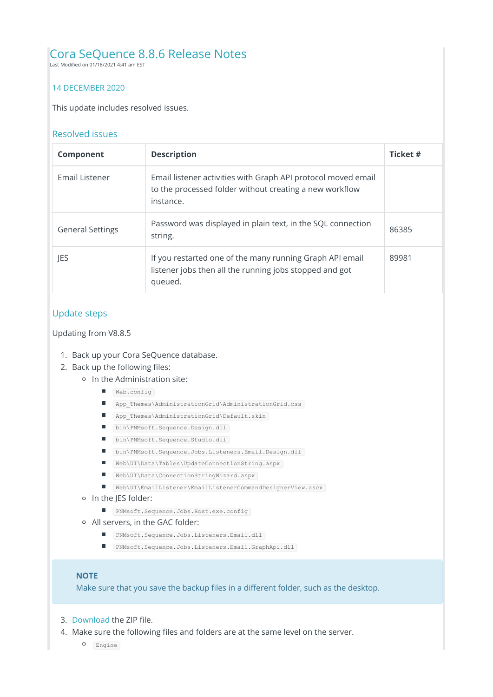# Cora SeQuence 8.8.6 Release Notes

Last Modified on 01/18/2021 4:41 am EST

### 14 DECEMBER 2020

This update includes resolved issues.

#### Resolved issues

| <b>Component</b>        | <b>Description</b>                                                                                                                    | Ticket # |
|-------------------------|---------------------------------------------------------------------------------------------------------------------------------------|----------|
| Email Listener          | Email listener activities with Graph API protocol moved email<br>to the processed folder without creating a new workflow<br>instance. |          |
| <b>General Settings</b> | Password was displayed in plain text, in the SQL connection<br>string.                                                                | 86385    |
| JES                     | If you restarted one of the many running Graph API email<br>listener jobs then all the running jobs stopped and got<br>queued.        | 89981    |

# Update steps

Updating from V8.8.5

- 1. Back up your Cora SeQuence database.
- 2. Back up the following files:
	- o In the Administration site:
		- Web.config
		- App\_Themes\AdministrationGrid\AdministrationGrid.css
		- App Themes\AdministrationGrid\Default.skin
		- bin\PNMsoft.Sequence.Design.dll
		- bin\PNMsoft.Sequence.Studio.dll
		- bin\PNMsoft.Sequence.Jobs.Listeners.Email.Design.dll
		- Web\UI\Data\Tables\UpdateConnectionString.aspx
		- Web\UI\Data\ConnectionStringWizard.aspx
		- Web\UI\EmailListener\EmailListenerCommandDesignerView.ascx
	- o In the JES folder:
		- PNMsoft.Sequence.Jobs.Host.exe.config
	- All servers, in the GAC folder:
		- PNMsoft.Sequence.Jobs.Listeners.Email.dll
		- PNMsoft.Sequence.Jobs.Listeners.Email.GraphApi.dll

#### **NOTE**

Make sure that you save the backup files in a different folder, such as the desktop.

- 3. Download the ZIP file.
- 4. Make sure the following files and folders are at the same level on the server.
	- O Engine